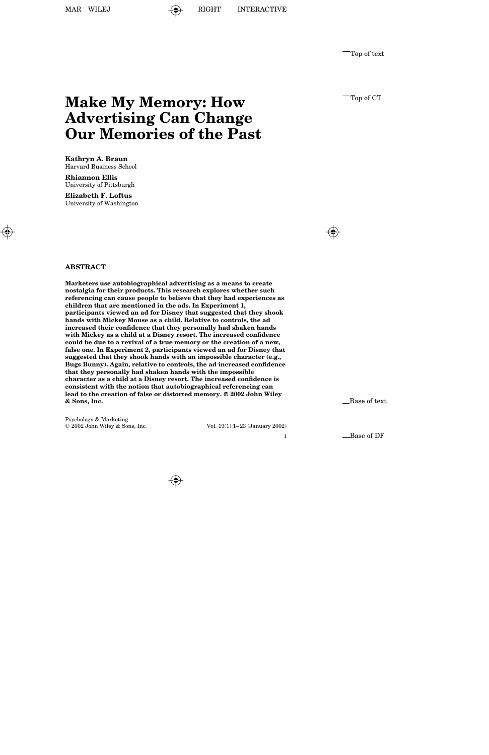# **Make My Memory: How Advertising Can Change Our Memories of the Past**

**Kathryn A. Braun** Harvard Business School

**Rhiannon Ellis** University of Pittsburgh

**Elizabeth F. Loftus** University of Washington

#### **ABSTRACT**

**Marketers use autobiographical advertising as a means to create nostalgia for their products. This research explores whether such referencing can cause people to believe that they had experiences as children that are mentioned in the ads. In Experiment 1, participants viewed an ad for Disney that suggested that they shook hands with Mickey Mouse as a child. Relative to controls, the ad increased their confidence that they personally had shaken hands with Mickey as a child at a Disney resort. The increased confidence could be due to a revival of a true memory or the creation of a new, false one. In Experiment 2, participants viewed an ad for Disney that suggested that they shook hands with an impossible character (e.g., Bugs Bunny). Again, relative to controls, the ad increased confidence that they personally had shaken hands with the impossible character as a child at a Disney resort. The increased confidence is consistent with the notion that autobiographical referencing can lead to the creation of false or distorted memory. 2002 John Wiley & Sons, Inc.**

Psychology & Marketing 2002 John Wiley & Sons, Inc. Vol. 19(1):1–23 (January 2002)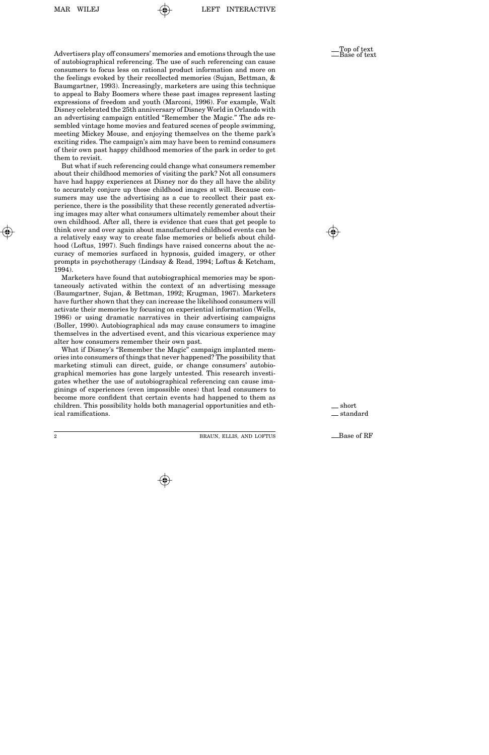Advertisers play off consumers' memories and emotions through the use of autobiographical referencing. The use of such referencing can cause consumers to focus less on rational product information and more on the feelings evoked by their recollected memories (Sujan, Bettman, & Baumgartner, 1993). Increasingly, marketers are using this technique to appeal to Baby Boomers where these past images represent lasting expressions of freedom and youth (Marconi, 1996). For example, Walt Disney celebrated the 25th anniversary of Disney World in Orlando with an advertising campaign entitled "Remember the Magic." The ads resembled vintage home movies and featured scenes of people swimming, meeting Mickey Mouse, and enjoying themselves on the theme park's exciting rides. The campaign's aim may have been to remind consumers of their own past happy childhood memories of the parkin order to get them to revisit.

But what if such referencing could change what consumers remember about their childhood memories of visiting the park? Not all consumers have had happy experiences at Disney nor do they all have the ability to accurately conjure up those childhood images at will. Because consumers may use the advertising as a cue to recollect their past experience, there is the possibility that these recently generated advertising images may alter what consumers ultimately remember about their own childhood. After all, there is evidence that cues that get people to think over and over again about manufactured childhood events can be a relatively easy way to create false memories or beliefs about childhood (Loftus, 1997). Such findings have raised concerns about the accuracy of memories surfaced in hypnosis, guided imagery, or other prompts in psychotherapy (Lindsay & Read, 1994; Loftus & Ketcham, 1994).

Marketers have found that autobiographical memories may be spontaneously activated within the context of an advertising message (Baumgartner, Sujan, & Bettman, 1992; Krugman, 1967). Marketers have further shown that they can increase the likelihood consumers will activate their memories by focusing on experiential information (Wells, 1986) or using dramatic narratives in their advertising campaigns (Boller, 1990). Autobiographical ads may cause consumers to imagine themselves in the advertised event, and this vicarious experience may alter how consumers remember their own past.

What if Disney's "Remember the Magic" campaign implanted memories into consumers of things that never happened? The possibility that marketing stimuli can direct, guide, or change consumers' autobiographical memories has gone largely untested. This research investigates whether the use of autobiographical referencing can cause imaginings of experiences (even impossible ones) that lead consumers to become more confident that certain events had happened to them as children. This possibility holds both managerial opportunities and ethical ramifications.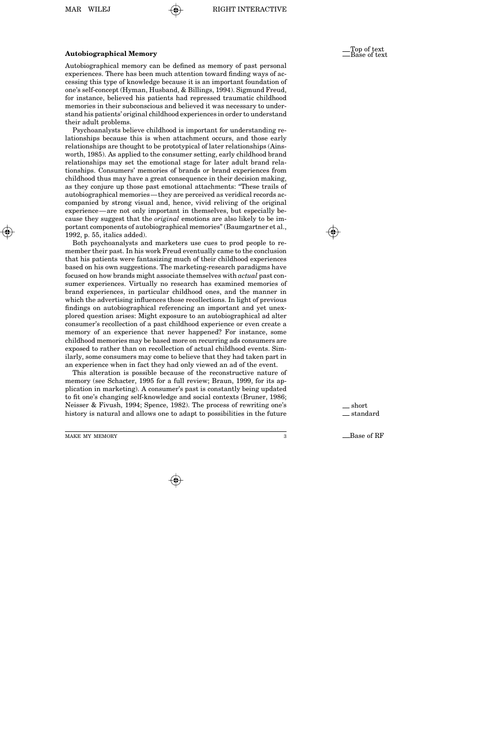#### **Autobiographical Memory**

Autobiographical memory can be defined as memory of past personal experiences. There has been much attention toward finding ways of accessing this type of knowledge because it is an important foundation of one's self-concept (Hyman, Husband, & Billings, 1994). Sigmund Freud, for instance, believed his patients had repressed traumatic childhood memories in their subconscious and believed it was necessary to understand his patients' original childhood experiences in order to understand their adult problems.

Psychoanalysts believe childhood is important for understanding relationships because this is when attachment occurs, and those early relationships are thought to be prototypical of later relationships (Ainsworth, 1985). As applied to the consumer setting, early childhood brand relationships may set the emotional stage for later adult brand relationships. Consumers' memories of brands or brand experiences from childhood thus may have a great consequence in their decision making, as they conjure up those past emotional attachments: "These trails of autobiographical memories— they are perceived as veridical records accompanied by strong visual and, hence, vivid reliving of the original experience—are not only important in themselves, but especially because they suggest that the *original* emotions are also likely to be important components of autobiographical memories" (Baumgartner et al., 1992, p. 55, italics added).

Both psychoanalysts and marketers use cues to prod people to remember their past. In his work Freud eventually came to the conclusion that his patients were fantasizing much of their childhood experiences based on his own suggestions. The marketing-research paradigms have focused on how brands might associate themselves with *actual* past consumer experiences. Virtually no research has examined memories of brand experiences, in particular childhood ones, and the manner in which the advertising influences those recollections. In light of previous findings on autobiographical referencing an important and yet unexplored question arises: Might exposure to an autobiographical ad alter consumer's recollection of a past childhood experience or even create a memory of an experience that never happened? For instance, some childhood memories may be based more on recurring ads consumers are exposed to rather than on recollection of actual childhood events. Similarly, some consumers may come to believe that they had taken part in an experience when in fact they had only viewed an ad of the event.

This alteration is possible because of the reconstructive nature of memory (see Schacter, 1995 for a full review; Braun, 1999, for its application in marketing). A consumer's past is constantly being updated to fit one's changing self-knowledge and social contexts (Bruner, 1986; Neisser & Fivush, 1994; Spence, 1982). The process of rewriting one's history is natural and allows one to adapt to possibilities in the future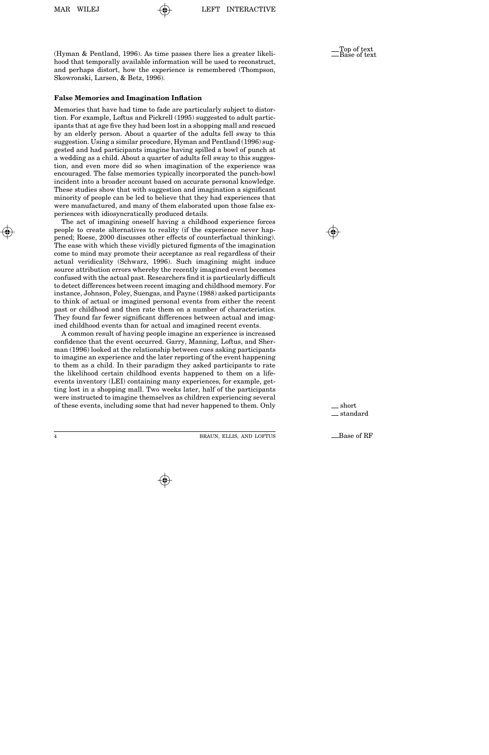(Hyman & Pentland, 1996). As time passes there lies a greater likelihood that temporally available information will be used to reconstruct, and perhaps distort, how the experience is remembered (Thompson, Skowronski, Larsen, & Betz, 1996).

#### **False Memories and Imagination Inflation**

Memories that have had time to fade are particularly subject to distortion. For example, Loftus and Pickrell (1995) suggested to adult participants that at age five they had been lost in a shopping mall and rescued by an elderly person. About a quarter of the adults fell sway to this suggestion. Using a similar procedure, Hyman and Pentland (1996) suggested and had participants imagine having spilled a bowl of punch at a wedding as a child. About a quarter of adults fell sway to this suggestion, and even more did so when imagination of the experience was encouraged. The false memories typically incorporated the punch-bowl incident into a broader account based on accurate personal knowledge. These studies show that with suggestion and imagination a significant minority of people can be led to believe that they had experiences that were manufactured, and many of them elaborated upon those false experiences with idiosyncratically produced details.

The act of imagining oneself having a childhood experience forces people to create alternatives to reality (if the experience never happened; Roese, 2000 discusses other effects of counterfactual thinking). The ease with which these vividly pictured figments of the imagination come to mind may promote their acceptance as real regardless of their actual veridicality (Schwarz, 1996). Such imagining might induce source attribution errors whereby the recently imagined event becomes confused with the actual past. Researchers find it is particularly difficult to detect differences between recent imaging and childhood memory. For instance, Johnson, Foley, Suengas, and Payne (1988) asked participants to think of actual or imagined personal events from either the recent past or childhood and then rate them on a number of characteristics. They found far fewer significant differences between actual and imagined childhood events than for actual and imagined recent events.

A common result of having people imagine an experience is increased confidence that the event occurred. Garry, Manning, Loftus, and Sherman (1996) looked at the relationship between cues asking participants to imagine an experience and the later reporting of the event happening to them as a child. In their paradigm they asked participants to rate the likelihood certain childhood events happened to them on a lifeevents inventory (LEI) containing many experiences, for example, getting lost in a shopping mall. Two weeks later, half of the participants were instructed to imagine themselves as children experiencing several of these events, including some that had never happened to them. Only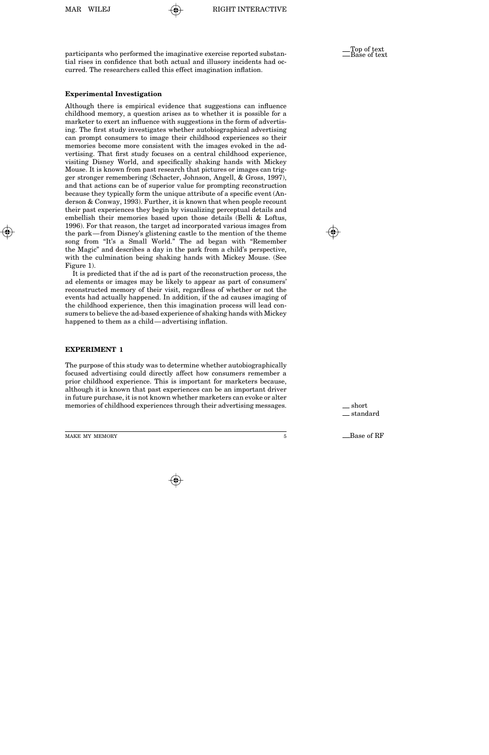participants who performed the imaginative exercise reported substantial rises in confidence that both actual and illusory incidents had occurred. The researchers called this effect imagination inflation.

# **Experimental Investigation**

Although there is empirical evidence that suggestions can influence childhood memory, a question arises as to whether it is possible for a marketer to exert an influence with suggestions in the form of advertising. The first study investigates whether autobiographical advertising can prompt consumers to image their childhood experiences so their memories become more consistent with the images evoked in the advertising. That first study focuses on a central childhood experience, visiting Disney World, and specifically shaking hands with Mickey Mouse. It is known from past research that pictures or images can trigger stronger remembering (Schacter, Johnson, Angell, & Gross, 1997), and that actions can be of superior value for prompting reconstruction because they typically form the unique attribute of a specific event (Anderson & Conway, 1993). Further, it is known that when people recount their past experiences they begin by visualizing perceptual details and embellish their memories based upon those details (Belli & Loftus, 1996). For that reason, the target ad incorporated various images from the park— from Disney's glistening castle to the mention of the theme song from "It's a Small World." The ad began with "Remember the Magic" and describes a day in the park from a child's perspective, with the culmination being shaking hands with Mickey Mouse. (See Figure 1).

It is predicted that if the ad is part of the reconstruction process, the ad elements or images may be likely to appear as part of consumers' reconstructed memory of their visit, regardless of whether or not the events had actually happened. In addition, if the ad causes imaging of the childhood experience, then this imagination process will lead consumers to believe the ad-based experience of shaking hands with Mickey happened to them as a child—advertising inflation.

# **EXPERIMENT 1**

The purpose of this study was to determine whether autobiographically focused advertising could directly affect how consumers remember a prior childhood experience. This is important for marketers because, although it is known that past experiences can be an important driver in future purchase, it is not known whether marketers can evoke or alter memories of childhood experiences through their advertising messages.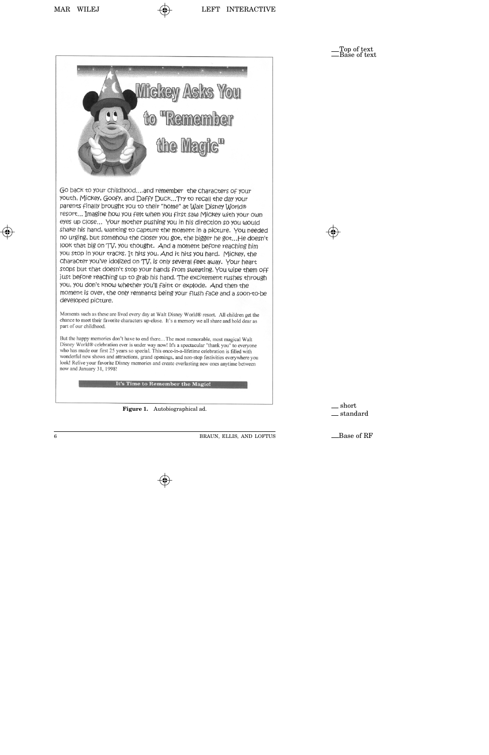

Go back to your childhood....and remember the characters of your youth, Mickey, Goofy, and Daffy Duck... Try to recall the day your parents finally brought you to their "home" at Walt Disney World® resort... Imagine how you felt when you first saw Mickey with your own eyes up close... Your mother pushing you in his direction so you would shake his hand, wanting to capture the moment in a picture. You needed no urging, but somehow the closer you got, the bigger he got... He doesn't look that big on TV, you thought. And a moment before reaching him you stop in your tracks. It hits you. And it hits you hard. Mickey, the character you've idolized on TV, is only several feet away. Your heart stops but that doesn't stop your hands from sweating. You wipe them off just before reaching up to grab his hand. The excitement rushes through you, you don't know whether you'll faint or explode. And then the moment is over, the only remnants being your flush face and a soon-to-be developed picture.

Moments such as these are lived every day at Walt Disney World® resort. All children get the chance to meet their favorite characters up-close. It's a memory we all share and hold dear as part of our childhood.

But the happy memories don't have to end there...The most memorable, most magical Walt Disney World® celebration ever is under way now! It's a spectacular "thank you" to everyone who has made our first 25 years so special. This once-in-a-lifetime celebration is filled with wonderful new shows and attractions, grand openings, and non-stop festivities everywhere you look! Relive your favorite Disney memories and create everlasting new ones anytime between now and January 31, 1998!

It's Time to Remember the Magic!

**Figure 1.** Autobiographical ad.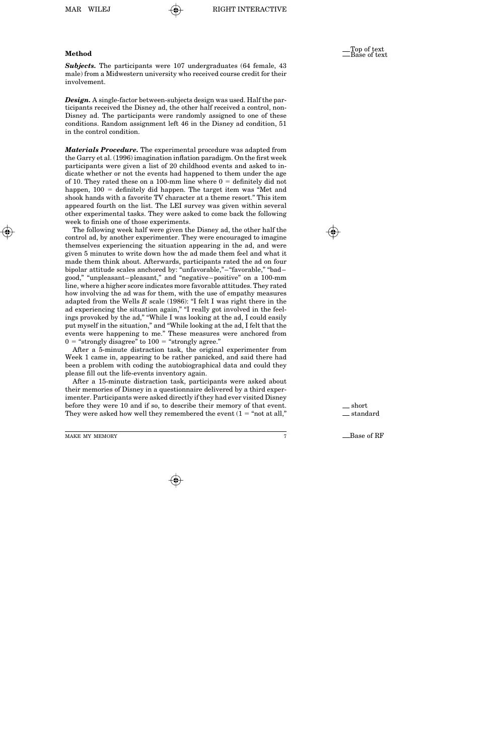## **Method**

*Subjects.* The participants were 107 undergraduates (64 female, 43 male) from a Midwestern university who received course credit for their involvement.

*Design.* A single-factor between-subjects design was used. Half the participants received the Disney ad, the other half received a control, non-Disney ad. The participants were randomly assigned to one of these conditions. Random assignment left 46 in the Disney ad condition, 51 in the control condition.

*Materials Procedure.* The experimental procedure was adapted from the Garry et al. (1996) imagination inflation paradigm. On the first week participants were given a list of 20 childhood events and asked to indicate whether or not the events had happened to them under the age of 10. They rated these on a 100-mm line where  $0 =$  definitely did not happen,  $100 =$  definitely did happen. The target item was "Met and shook hands with a favorite TV character at a theme resort." This item appeared fourth on the list. The LEI survey was given within several other experimental tasks. They were asked to come back the following week to finish one of those experiments.

The following week half were given the Disney ad, the other half the control ad, by another experimenter. They were encouraged to imagine themselves experiencing the situation appearing in the ad, and were given 5 minutes to write down how the ad made them feel and what it made them think about. Afterwards, participants rated the ad on four bipolar attitude scales anchored by: "unfavorable,"– "favorable," "bad– good," "unpleasant–pleasant," and "negative–positive" on a 100-mm line, where a higher score indicates more favorable attitudes. They rated how involving the ad was for them, with the use of empathy measures adapted from the Wells *R* scale (1986): "I felt I was right there in the ad experiencing the situation again," "I really got involved in the feelings provoked by the ad," "While I was looking at the ad, I could easily put myself in the situation," and "While looking at the ad, I felt that the events were happening to me." These measures were anchored from  $0 =$  "strongly disagree" to  $100 =$  "strongly agree."

After a 5-minute distraction task, the original experimenter from Week 1 came in, appearing to be rather panicked, and said there had been a problem with coding the autobiographical data and could they please fill out the life-events inventory again.

After a 15-minute distraction task, participants were asked about their memories of Disney in a questionnaire delivered by a third experimenter. Participants were asked directly if they had ever visited Disney before they were 10 and if so, to describe their memory of that event. They were asked how well they remembered the event  $(1 = "not at all,"$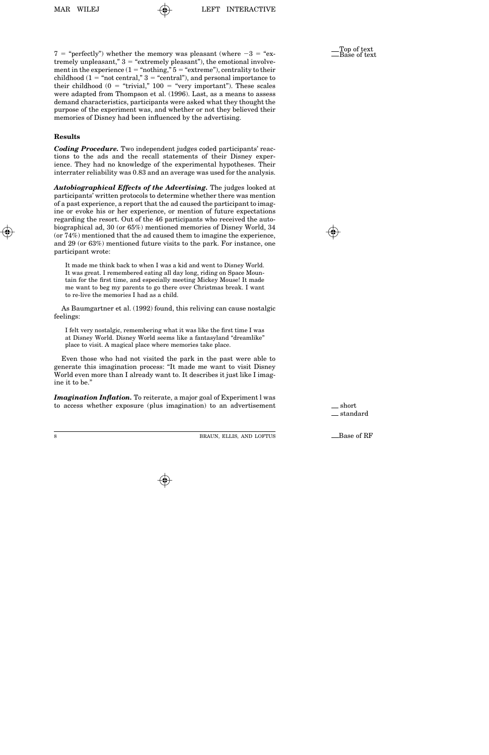$7$  = "perfectly") whether the memory was pleasant (where  $-3$  = "extremely unpleasant,"  $3$  = "extremely pleasant"), the emotional involvement in the experience  $(1 - \text{"nothing," } 5 = \text{"extreme"})$ , centrality to their childhood  $(1 - \text{``not central''})$ , and personal importance to their childhood (0 = "trivial,"  $100 =$  "very important"). These scales were adapted from Thompson et al. (1996). Last, as a means to assess demand characteristics, participants were asked what they thought the purpose of the experiment was, and whether or not they believed their memories of Disney had been influenced by the advertising.

# **Results**

*Coding Procedure.* Two independent judges coded participants' reactions to the ads and the recall statements of their Disney experience. They had no knowledge of the experimental hypotheses. Their interrater reliability was 0.83 and an average was used for the analysis.

*Autobiographical Effects of the Advertising.* The judges looked at participants' written protocols to determine whether there was mention of a past experience, a report that the ad caused the participant to imagine or evoke his or her experience, or mention of future expectations regarding the resort. Out of the 46 participants who received the autobiographical ad, 30 (or 65%) mentioned memories of Disney World, 34 (or 74%) mentioned that the ad caused them to imagine the experience, and 29 (or 63%) mentioned future visits to the park. For instance, one participant wrote:

It made me think back to when I was a kid and went to Disney World. It was great. I remembered eating all day long, riding on Space Mountain for the first time, and especially meeting Mickey Mouse! It made me want to beg my parents to go there over Christmas break. I want to re-live the memories I had as a child.

As Baumgartner et al. (1992) found, this reliving can cause nostalgic feelings:

I felt very nostalgic, remembering what it was like the first time I was at Disney World. Disney World seems like a fantasyland "dreamlike" place to visit. A magical place where memories take place.

Even those who had not visited the park in the past were able to generate this imagination process: "It made me want to visit Disney World even more than I already want to. It describes it just like I imagine it to be."

**Imagination Inflation.** To reiterate, a major goal of Experiment l was to access whether exposure (plus imagination) to an advertisement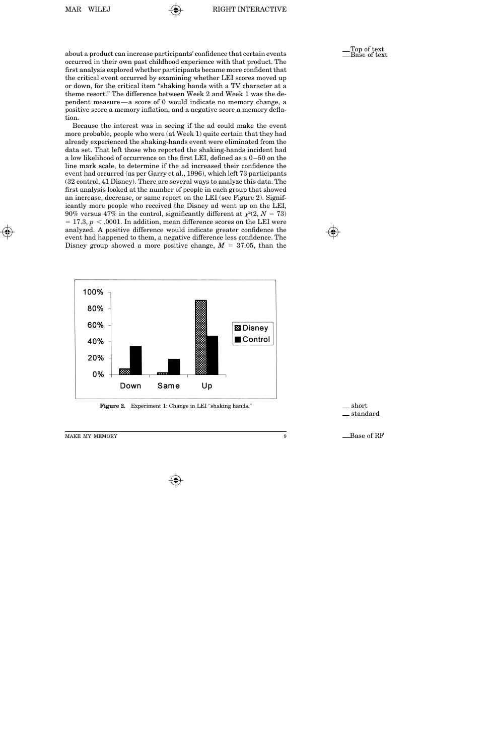about a product can increase participants' confidence that certain events occurred in their own past childhood experience with that product. The first analysis explored whether participants became more confident that the critical event occurred by examining whether LEI scores moved up or down, for the critical item "shaking hands with a TV character at a theme resort." The difference between Week 2 and Week 1 was the dependent measure—a score of 0 would indicate no memory change, a positive score a memory inflation, and a negative score a memory deflation.

Because the interest was in seeing if the ad could make the event more probable, people who were (at Week 1) quite certain that they had already experienced the shaking-hands event were eliminated from the data set. That left those who reported the shaking-hands incident had a low likelihood of occurrence on the first LEI, defined as a 0–50 on the line mark scale, to determine if the ad increased their confidence the event had occurred (as per Garry et al., 1996), which left 73 participants (32 control, 41 Disney). There are several ways to analyze this data. The first analysis looked at the number of people in each group that showed an increase, decrease, or same report on the LEI (see Figure 2). Significantly more people who received the Disney ad went up on the LEI, 90% versus 47% in the control, significantly different at  $\chi^2(2, N = 73)$  $= 17.3, p < 0.001$ . In addition, mean difference scores on the LEI were analyzed. A positive difference would indicate greater confidence the event had happened to them, a negative difference less confidence. The Disney group showed a more positive change,  $M = 37.05$ , than the



**Figure 2.** Experiment 1: Change in LEI "shaking hands."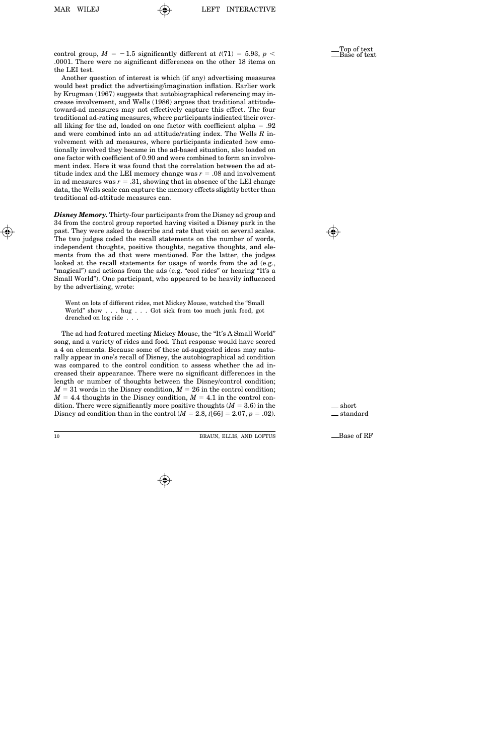control group,  $M = -1.5$  significantly different at  $t(71) = 5.93$ ,  $p <$ .0001. There were no significant differences on the other 18 items on the LEI test.

Another question of interest is which (if any) advertising measures would best predict the advertising/imagination inflation. Earlier work by Krugman (1967) suggests that autobiographical referencing may increase involvement, and Wells (1986) argues that traditional attitudetoward-ad measures may not effectively capture this effect. The four traditional ad-rating measures, where participants indicated their overall liking for the ad, loaded on one factor with coefficient alpha  $= .92$ and were combined into an ad attitude/rating index. The Wells *R* involvement with ad measures, where participants indicated how emotionally involved they became in the ad-based situation, also loaded on one factor with coefficient of 0.90 and were combined to form an involvement index. Here it was found that the correlation between the ad attitude index and the LEI memory change was  $r = .08$  and involvement in ad measures was  $r = .31$ , showing that in absence of the LEI change data, the Wells scale can capture the memory effects slightly better than traditional ad-attitude measures can.

*Disney Memory.* Thirty-four participants from the Disney ad group and 34 from the control group reported having visited a Disney park in the past. They were asked to describe and rate that visit on several scales. The two judges coded the recall statements on the number of words, independent thoughts, positive thoughts, negative thoughts, and elements from the ad that were mentioned. For the latter, the judges looked at the recall statements for usage of words from the ad (e.g., "magical") and actions from the ads (e.g. "cool rides" or hearing "It's a Small World"). One participant, who appeared to be heavily influenced by the advertising, wrote:

Went on lots of different rides, met Mickey Mouse, watched the "Small World" show . . . hug . . . Got sick from too much junk food, got drenched on log ride...

The ad had featured meeting Mickey Mouse, the "It's A Small World" song, and a variety of rides and food. That response would have scored a 4 on elements. Because some of these ad-suggested ideas may naturally appear in one's recall of Disney, the autobiographical ad condition was compared to the control condition to assess whether the ad increased their appearance. There were no significant differences in the length or number of thoughts between the Disney/control condition;  $M = 31$  words in the Disney condition,  $M = 26$  in the control condition;  $M = 4.4$  thoughts in the Disney condition,  $M = 4.1$  in the control condition. There were significantly more positive thoughts  $(M = 3.6)$  in the Disney ad condition than in the control  $(M = 2.8, t[66] = 2.07, p = .02)$ .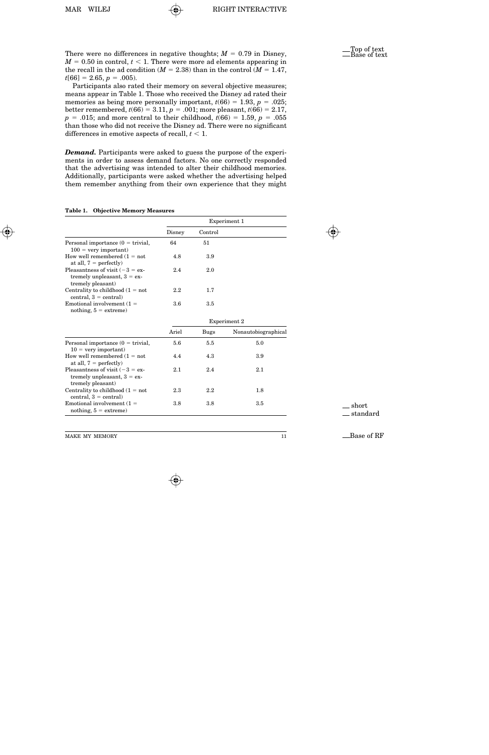There were no differences in negative thoughts;  $M = 0.79$  in Disney,  $M = 0.50$  in control,  $t \leq 1$ . There were more ad elements appearing in the recall in the ad condition  $(M = 2.38)$  than in the control  $(M = 1.47)$ ,  $t[66] = 2.65, p = .005$ .

Participants also rated their memory on several objective measures; means appear in Table 1. Those who received the Disney ad rated their memories as being more personally important,  $t(66) = 1.93$ ,  $p = .025$ ; better remembered,  $t(66) = 3.11$ ,  $p = .001$ ; more pleasant,  $t(66) = 2.17$ , *p* = .015; and more central to their childhood,  $t(66) = 1.59$ , *p* = .055 than those who did not receive the Disney ad. There were no significant differences in emotive aspects of recall,  $t < 1$ .

*Demand.* Participants were asked to guess the purpose of the experiments in order to assess demand factors. No one correctly responded that the advertising was intended to alter their childhood memories. Additionally, participants were asked whether the advertising helped them remember anything from their own experience that they might

|                                                                                           | Experiment 1 |             |                     |
|-------------------------------------------------------------------------------------------|--------------|-------------|---------------------|
|                                                                                           | Disney       | Control     |                     |
| Personal importance $(0 = trivial,$<br>$100 = very important$                             | 64           | 51          |                     |
| How well remembered $(1 = not$<br>at all, $7 = perfectly$ )                               | 4.8          | $3.9\,$     |                     |
| Pleasantness of visit $(-3)$ = ex-<br>tremely unpleasant, $3 = e$ x-<br>tremely pleasant) | 2.4          | 2.0         |                     |
| Centrality to childhood $(1 = not$<br>$central, 3 = central)$                             | 2.2          | 1.7         |                     |
| Emotional involvement $(1 =$<br>nothing, $5 =$ extreme)                                   | 3.6          | 3.5         |                     |
|                                                                                           | Experiment 2 |             |                     |
|                                                                                           | Ariel        | <b>Bugs</b> | Nonautobiographical |
| Personal importance $(0 = trivial,$<br>$10 = \text{very important}$                       | 5.6          | 5.5         | 5.0                 |
| How well remembered $(1 = not$<br>at all, $7 =$ perfectly)                                | 4.4          | 4.3         | 3.9                 |
| Pleasantness of visit $(-3)$ = ex-<br>tremely unpleasant, $3 = ex$ -<br>tremely pleasant) | 2.1          | 2.4         | 2.1                 |
| Centrality to childhood $(1 = not$<br>$central, 3 = central)$                             | 2.3          | 2.2         | 1.8                 |
| Emotional involvement $(1 =$<br>nothing, $5 =$ extreme)                                   | 3.8          | 3.8         | 3.5                 |

#### **Table 1. Objective Memory Measures**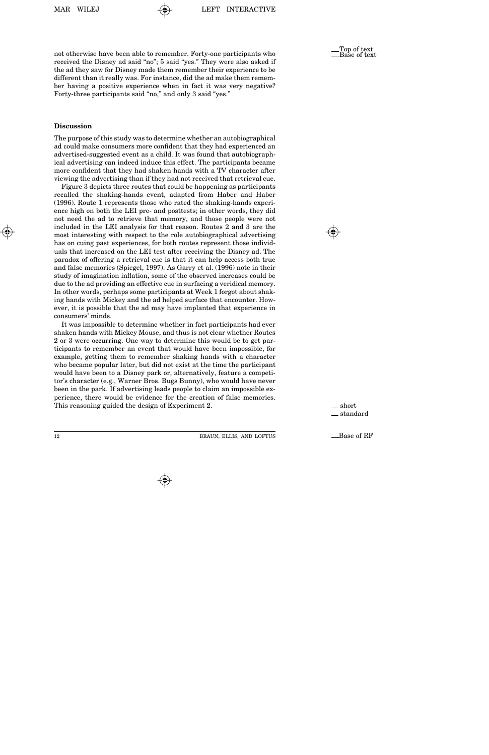not otherwise have been able to remember. Forty-one participants who received the Disney ad said "no"; 5 said "yes." They were also asked if the ad they saw for Disney made them remember their experience to be different than it really was. For instance, did the ad make them remember having a positive experience when in fact it was very negative? Forty-three participants said "no," and only 3 said "yes."

#### **Discussion**

The purpose of this study was to determine whether an autobiographical ad could make consumers more confident that they had experienced an advertised-suggested event as a child. It was found that autobiographical advertising can indeed induce this effect. The participants became more confident that they had shaken hands with a TV character after viewing the advertising than if they had not received that retrieval cue.

Figure 3 depicts three routes that could be happening as participants recalled the shaking-hands event, adapted from Haber and Haber (1996). Route 1 represents those who rated the shaking-hands experience high on both the LEI pre- and posttests; in other words, they did not need the ad to retrieve that memory, and those people were not included in the LEI analysis for that reason. Routes 2 and 3 are the most interesting with respect to the role autobiographical advertising has on cuing past experiences, for both routes represent those individuals that increased on the LEI test after receiving the Disney ad. The paradox of offering a retrieval cue is that it can help access both true and false memories (Spiegel, 1997). As Garry et al. (1996) note in their study of imagination inflation, some of the observed increases could be due to the ad providing an effective cue in surfacing a veridical memory. In other words, perhaps some participants at Week 1 forgot about shaking hands with Mickey and the ad helped surface that encounter. However, it is possible that the ad may have implanted that experience in consumers' minds.

It was impossible to determine whether in fact participants had ever shaken hands with Mickey Mouse, and thus is not clear whether Routes 2 or 3 were occurring. One way to determine this would be to get participants to remember an event that would have been impossible, for example, getting them to remember shaking hands with a character who became popular later, but did not exist at the time the participant would have been to a Disney park or, alternatively, feature a competitor's character (e.g., Warner Bros. Bugs Bunny), who would have never been in the park. If advertising leads people to claim an impossible experience, there would be evidence for the creation of false memories. This reasoning guided the design of Experiment 2.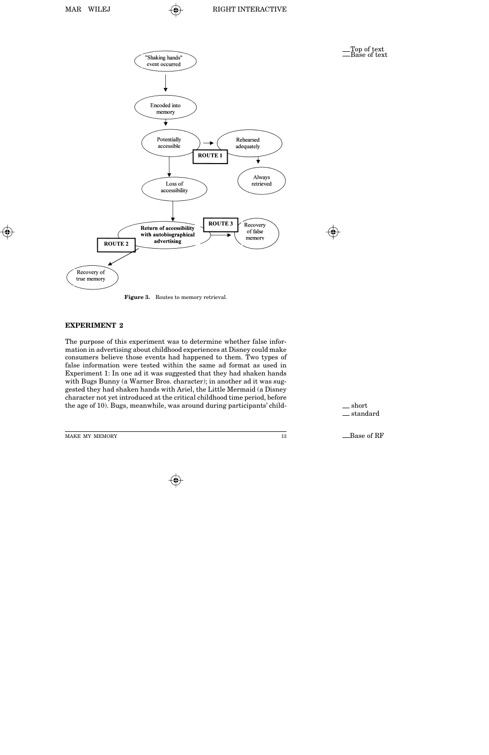

**Figure 3.** Routes to memory retrieval.

# **EXPERIMENT 2**

The purpose of this experiment was to determine whether false information in advertising about childhood experiences at Disney could make consumers believe those events had happened to them. Two types of false information were tested within the same ad format as used in Experiment 1: In one ad it was suggested that they had shaken hands with Bugs Bunny (a Warner Bros. character); in another ad it was suggested they had shaken hands with Ariel, the Little Mermaid (a Disney character not yet introduced at the critical childhood time period, before the age of 10). Bugs, meanwhile, was around during participants' child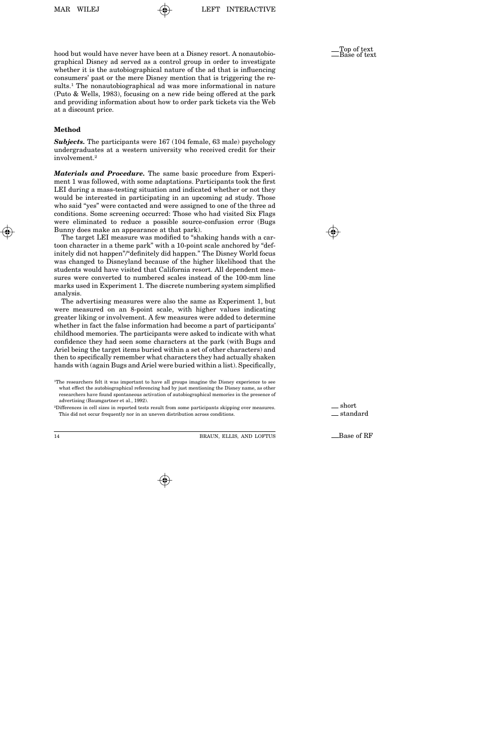hood but would have never have been at a Disney resort. A nonautobiographical Disney ad served as a control group in order to investigate whether it is the autobiographical nature of the ad that is influencing consumers' past or the mere Disney mention that is triggering the results.1 The nonautobiographical ad was more informational in nature (Puto & Wells, 1983), focusing on a new ride being offered at the park and providing information about how to order park tickets via the Web at a discount price.

### **Method**

*Subjects.* The participants were 167 (104 female, 63 male) psychology undergraduates at a western university who received credit for their involvement.2

*Materials and Procedure.* The same basic procedure from Experiment 1 was followed, with some adaptations. Participants took the first LEI during a mass-testing situation and indicated whether or not they would be interested in participating in an upcoming ad study. Those who said "yes" were contacted and were assigned to one of the three ad conditions. Some screening occurred: Those who had visited Six Flags were eliminated to reduce a possible source-confusion error (Bugs Bunny does make an appearance at that park).

The target LEI measure was modified to "shaking hands with a cartoon character in a theme park" with a 10-point scale anchored by "definitely did not happen"/"definitely did happen." The Disney World focus was changed to Disneyland because of the higher likelihood that the students would have visited that California resort. All dependent measures were converted to numbered scales instead of the 100-mm line marks used in Experiment 1. The discrete numbering system simplified analysis.

The advertising measures were also the same as Experiment 1, but were measured on an 8-point scale, with higher values indicating greater liking or involvement. A few measures were added to determine whether in fact the false information had become a part of participants' childhood memories. The participants were asked to indicate with what confidence they had seen some characters at the park (with Bugs and Ariel being the target items buried within a set of other characters) and then to specifically remember what characters they had actually shaken hands with (again Bugs and Ariel were buried within a list). Specifically,

<sup>1</sup>The researchers felt it was important to have all groups imagine the Disney experience to see what effect the autobiographical referencing had by just mentioning the Disney name, as other researchers have found spontaneous activation of autobiographical memories in the presence of advertising (Baumgartner et al., 1992).

<sup>2</sup>Differences in cell sizes in reported tests result from some participants skipping over measures. This did not occur frequently nor in an uneven distribution across conditions.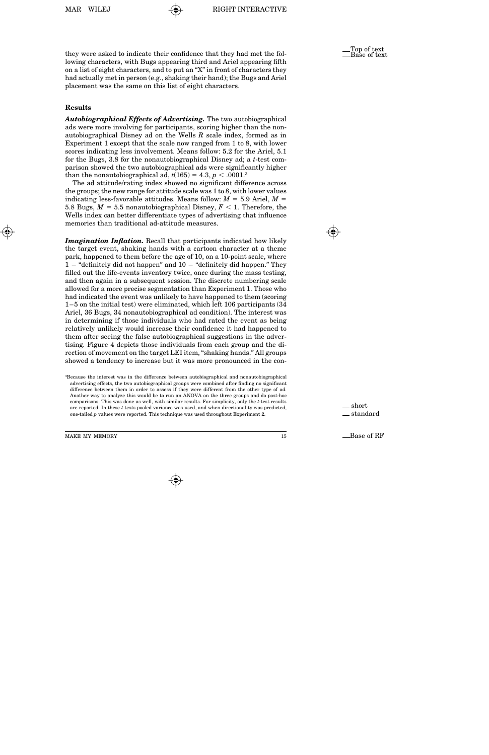they were asked to indicate their confidence that they had met the following characters, with Bugs appearing third and Ariel appearing fifth on a list of eight characters, and to put an "X" in front of characters they had actually met in person (e.g., shaking their hand); the Bugs and Ariel placement was the same on this list of eight characters.

# **Results**

*Autobiographical Effects of Advertising.* The two autobiographical ads were more involving for participants, scoring higher than the nonautobiographical Disney ad on the Wells *R* scale index, formed as in Experiment 1 except that the scale now ranged from 1 to 8, with lower scores indicating less involvement. Means follow: 5.2 for the Ariel, 5.1 for the Bugs, 3.8 for the nonautobiographical Disney ad; a *t*-test comparison showed the two autobiographical ads were significantly higher than the nonautobiographical ad,  $t(165) = 4.3, p < .0001$ .<sup>3</sup>

The ad attitude/rating index showed no significant difference across the groups; the new range for attitude scale was 1 to 8, with lower values indicating less-favorable attitudes. Means follow:  $M = 5.9$  Ariel,  $M =$  $5.8 \text{ Bugs}, M = 5.5 \text{ nonautobiographical Disney}, F < 1. \text{ Therefore, the}$ Wells index can better differentiate types of advertising that influence memories than traditional ad-attitude measures.

**Imagination Inflation.** Recall that participants indicated how likely the target event, shaking hands with a cartoon character at a theme park, happened to them before the age of 10, on a 10-point scale, where  $1 -$  "definitely did not happen" and  $10 -$  "definitely did happen." They filled out the life-events inventory twice, once during the mass testing, and then again in a subsequent session. The discrete numbering scale allowed for a more precise segmentation than Experiment 1. Those who had indicated the event was unlikely to have happened to them (scoring 1–5 on the initial test) were eliminated, which left 106 participants (34 Ariel, 36 Bugs, 34 nonautobiographical ad condition). The interest was in determining if those individuals who had rated the event as being relatively unlikely would increase their confidence it had happened to them after seeing the false autobiographical suggestions in the advertising. Figure 4 depicts those individuals from each group and the direction of movement on the target LEI item, "shaking hands." All groups showed a tendency to increase but it was more pronounced in the con-

<sup>3</sup>Because the interest was in the difference between autobiographical and nonautobiographical advertising effects, the two autobiographical groups were combined after finding no significant difference between them in order to assess if they were different from the other type of ad. Another way to analyze this would be to run an ANOVA on the three groups and do post-hoc comparisons. This was done as well, with similar results. For simplicity, only the *t*-test results are reported. In these *t* tests pooled variance was used, and when directionality was predicted, one-tailed *p* values were reported. This technique was used throughout Experiment 2.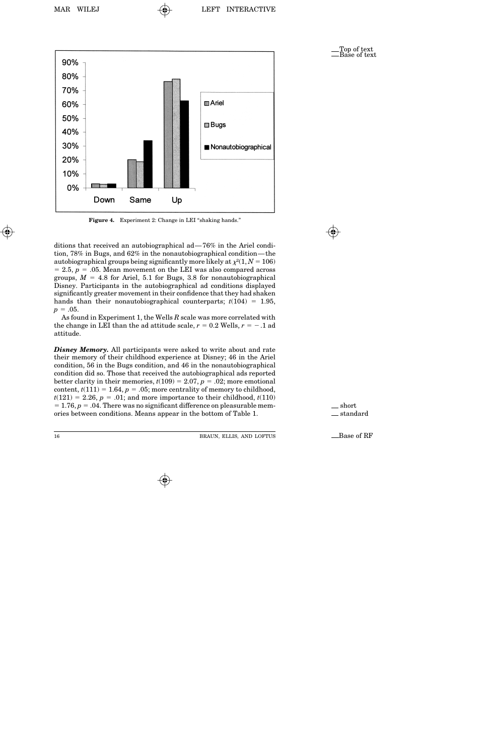

**Figure 4.** Experiment 2: Change in LEI "shaking hands."

ditions that received an autobiographical ad—76% in the Ariel condition, 78% in Bugs, and 62% in the nonautobiographical condition— the autobiographical groups being significantly more likely at  $\chi^2(1, N = 106)$  $= 2.5, p = .05$ . Mean movement on the LEI was also compared across groups,  $M = 4.8$  for Ariel, 5.1 for Bugs, 3.8 for nonautobiographical Disney. Participants in the autobiographical ad conditions displayed significantly greater movement in their confidence that they had shaken hands than their nonautobiographical counterparts;  $t(104) = 1.95$ ,  $p = .05$ .

As found in Experiment 1, the Wells *R* scale was more correlated with the change in LEI than the ad attitude scale,  $r = 0.2$  Wells,  $r = -.1$  ad attitude.

**Disney Memory.** All participants were asked to write about and rate their memory of their childhood experience at Disney; 46 in the Ariel condition, 56 in the Bugs condition, and 46 in the nonautobiographical condition did so. Those that received the autobiographical ads reported better clarity in their memories,  $t(109) = 2.07$ ,  $p = .02$ ; more emotional content,  $t(111) = 1.64$ ,  $p = .05$ ; more centrality of memory to childhood,  $t(121) = 2.26$ ,  $p = .01$ ; and more importance to their childhood,  $t(110)$  $= 1.76$ ,  $p = .04$ . There was no significant difference on pleasurable memories between conditions. Means appear in the bottom of Table 1.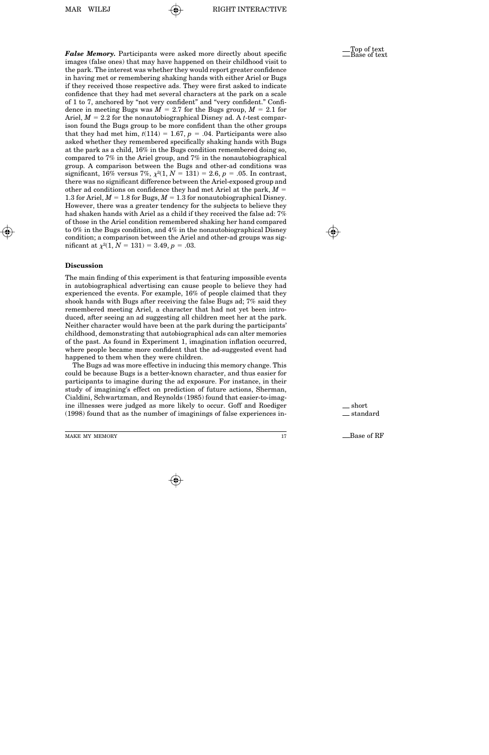*False Memory.* Participants were asked more directly about specific images (false ones) that may have happened on their childhood visit to the park. The interest was whether they would report greater confidence in having met or remembering shaking hands with either Ariel or Bugs if they received those respective ads. They were first asked to indicate confidence that they had met several characters at the park on a scale of 1 to 7, anchored by "not very confident" and "very confident." Confidence in meeting Bugs was  $M = 2.7$  for the Bugs group,  $M = 2.1$  for Ariel,  $M = 2.2$  for the nonautobiographical Disney ad. A *t*-test comparison found the Bugs group to be more confident than the other groups that they had met him,  $t(114) = 1.67$ ,  $p = .04$ . Participants were also asked whether they remembered specifically shaking hands with Bugs at the park as a child, 16% in the Bugs condition remembered doing so, compared to 7% in the Ariel group, and 7% in the nonautobiographical group. A comparison between the Bugs and other-ad conditions was significant, 16% versus 7%,  $\chi^2(1, N = 131) = 2.6$ ,  $p = .05$ . In contrast, there was no significant difference between the Ariel-exposed group and other ad conditions on confidence they had met Ariel at the park, *M* 1.3 for Ariel,  $M = 1.8$  for Bugs,  $M = 1.3$  for nonautobiographical Disney. However, there was a greater tendency for the subjects to believe they had shaken hands with Ariel as a child if they received the false ad: 7% of those in the Ariel condition remembered shaking her hand compared to 0% in the Bugs condition, and 4% in the nonautobiographical Disney condition; a comparison between the Ariel and other-ad groups was significant at  $\chi^2(1, N = 131) = 3.49, p = .03.$ 

# **Discussion**

The main finding of this experiment is that featuring impossible events in autobiographical advertising can cause people to believe they had experienced the events. For example, 16% of people claimed that they shook hands with Bugs after receiving the false Bugs ad; 7% said they remembered meeting Ariel, a character that had not yet been introduced, after seeing an ad suggesting all children meet her at the park. Neither character would have been at the park during the participants' childhood, demonstrating that autobiographical ads can alter memories of the past. As found in Experiment 1, imagination inflation occurred, where people became more confident that the ad-suggested event had happened to them when they were children.

The Bugs ad was more effective in inducing this memory change. This could be because Bugs is a better-known character, and thus easier for participants to imagine during the ad exposure. For instance, in their study of imagining's effect on prediction of future actions, Sherman, Cialdini, Schwartzman, and Reynolds (1985) found that easier-to-imagine illnesses were judged as more likely to occur. Goff and Roediger (1998) found that as the number of imaginings of false experiences in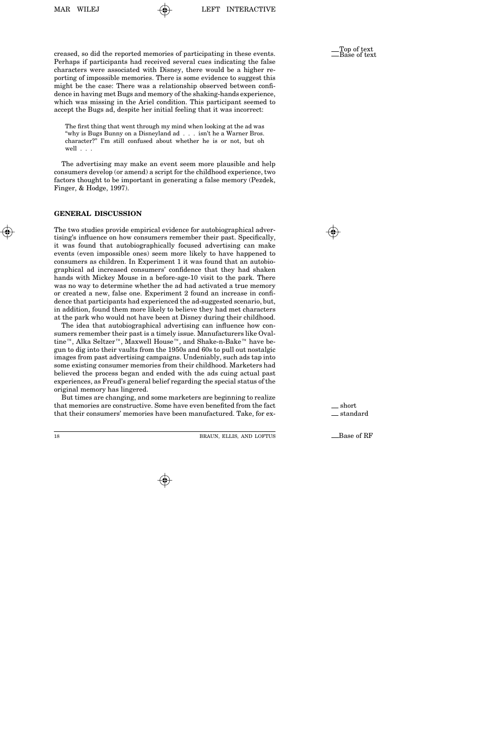creased, so did the reported memories of participating in these events. Perhaps if participants had received several cues indicating the false characters were associated with Disney, there would be a higher reporting of impossible memories. There is some evidence to suggest this might be the case: There was a relationship observed between confidence in having met Bugs and memory of the shaking-hands experience, which was missing in the Ariel condition. This participant seemed to accept the Bugs ad, despite her initial feeling that it was incorrect:

The first thing that went through my mind when looking at the ad was "why is Bugs Bunny on a Disneyland ad... isn't he a Warner Bros. character?" I'm still confused about whether he is or not, but oh well . . .

The advertising may make an event seem more plausible and help consumers develop (or amend) a script for the childhood experience, two factors thought to be important in generating a false memory (Pezdek, Finger, & Hodge, 1997).

#### **GENERAL DISCUSSION**

The two studies provide empirical evidence for autobiographical advertising's influence on how consumers remember their past. Specifically, it was found that autobiographically focused advertising can make events (even impossible ones) seem more likely to have happened to consumers as children. In Experiment 1 it was found that an autobiographical ad increased consumers' confidence that they had shaken hands with Mickey Mouse in a before-age-10 visit to the park. There was no way to determine whether the ad had activated a true memory or created a new, false one. Experiment 2 found an increase in confidence that participants had experienced the ad-suggested scenario, but, in addition, found them more likely to believe they had met characters at the park who would not have been at Disney during their childhood.

The idea that autobiographical advertising can influence how consumers remember their past is a timely issue. Manufacturers like Ovaltine™, Alka Seltzer™, Maxwell House™, and Shake-n-Bake™ have begun to dig into their vaults from the 1950s and 60s to pull out nostalgic images from past advertising campaigns. Undeniably, such ads tap into some existing consumer memories from their childhood. Marketers had believed the process began and ended with the ads cuing actual past experiences, as Freud's general belief regarding the special status of the original memory has lingered.

But times are changing, and some marketers are beginning to realize that memories are constructive. Some have even benefited from the fact that their consumers' memories have been manufactured. Take, for ex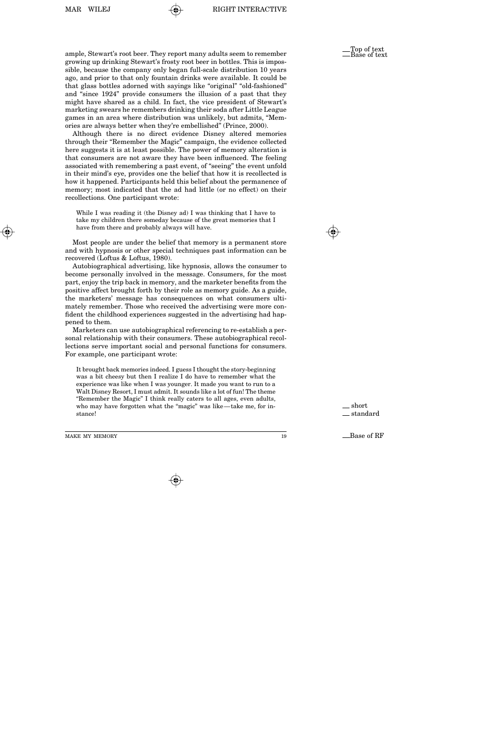ample, Stewart's root beer. They report many adults seem to remember growing up drinking Stewart's frosty root beer in bottles. This is impossible, because the company only began full-scale distribution 10 years ago, and prior to that only fountain drinks were available. It could be that glass bottles adorned with sayings like "original" "old-fashioned" and "since 1924" provide consumers the illusion of a past that they might have shared as a child. In fact, the vice president of Stewart's marketing swears he remembers drinking their soda after Little League games in an area where distribution was unlikely, but admits, "Memories are always better when they're embellished" (Prince, 2000).

Although there is no direct evidence Disney altered memories through their "Remember the Magic" campaign, the evidence collected here suggests it is at least possible. The power of memory alteration is that consumers are not aware they have been influenced. The feeling associated with remembering a past event, of "seeing" the event unfold in their mind's eye, provides one the belief that how it is recollected is how it happened. Participants held this belief about the permanence of memory; most indicated that the ad had little (or no effect) on their recollections. One participant wrote:

While I was reading it (the Disney ad) I was thinking that I have to take my children there someday because of the great memories that I have from there and probably always will have.

Most people are under the belief that memory is a permanent store and with hypnosis or other special techniques past information can be recovered (Loftus & Loftus, 1980).

Autobiographical advertising, like hypnosis, allows the consumer to become personally involved in the message. Consumers, for the most part, enjoy the trip back in memory, and the marketer benefits from the positive affect brought forth by their role as memory guide. As a guide, the marketers' message has consequences on what consumers ultimately remember. Those who received the advertising were more confident the childhood experiences suggested in the advertising had happened to them.

Marketers can use autobiographical referencing to re-establish a personal relationship with their consumers. These autobiographical recollections serve important social and personal functions for consumers. For example, one participant wrote:

It brought back memories indeed. I guess I thought the story-beginning was a bit cheesy but then I realize I do have to remember what the experience was like when I was younger. It made you want to run to a Walt Disney Resort, I must admit. It sounds like a lot of fun! The theme "Remember the Magic" I think really caters to all ages, even adults, who may have forgotten what the "magic" was like— take me, for instance!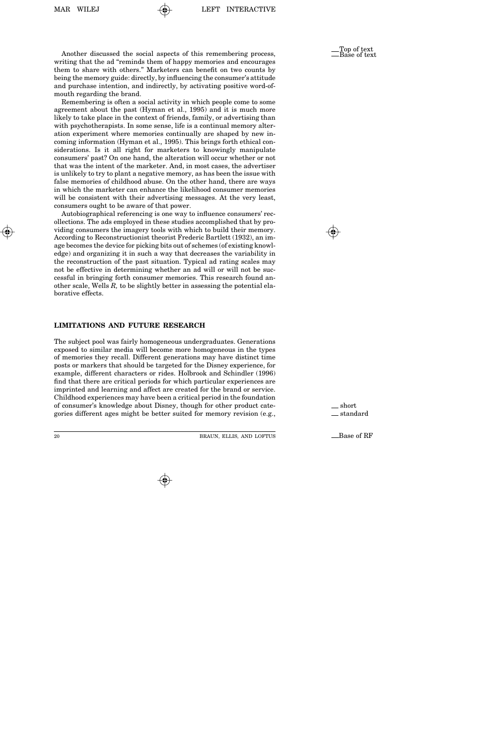Another discussed the social aspects of this remembering process, writing that the ad "reminds them of happy memories and encourages them to share with others." Marketers can benefit on two counts by being the memory guide: directly, by influencing the consumer's attitude and purchase intention, and indirectly, by activating positive word-ofmouth regarding the brand.

Remembering is often a social activity in which people come to some agreement about the past (Hyman et al., 1995) and it is much more likely to take place in the context of friends, family, or advertising than with psychotherapists. In some sense, life is a continual memory alteration experiment where memories continually are shaped by new incoming information (Hyman et al., 1995). This brings forth ethical considerations. Is it all right for marketers to knowingly manipulate consumers' past? On one hand, the alteration will occur whether or not that was the intent of the marketer. And, in most cases, the advertiser is unlikely to try to plant a negative memory, as has been the issue with false memories of childhood abuse. On the other hand, there are ways in which the marketer can enhance the likelihood consumer memories will be consistent with their advertising messages. At the very least, consumers ought to be aware of that power.

Autobiographical referencing is one way to influence consumers' recollections. The ads employed in these studies accomplished that by providing consumers the imagery tools with which to build their memory. According to Reconstructionist theorist Frederic Bartlett (1932), an image becomes the device for picking bits out of schemes (of existing knowledge) and organizing it in such a way that decreases the variability in the reconstruction of the past situation. Typical ad rating scales may not be effective in determining whether an ad will or will not be successful in bringing forth consumer memories. This research found another scale, Wells *R,* to be slightly better in assessing the potential elaborative effects.

### **LIMITATIONS AND FUTURE RESEARCH**

The subject pool was fairly homogeneous undergraduates. Generations exposed to similar media will become more homogeneous in the types of memories they recall. Different generations may have distinct time posts or markers that should be targeted for the Disney experience, for example, different characters or rides. Holbrook and Schindler (1996) find that there are critical periods for which particular experiences are imprinted and learning and affect are created for the brand or service. Childhood experiences may have been a critical period in the foundation of consumer's knowledge about Disney, though for other product categories different ages might be better suited for memory revision (e.g.,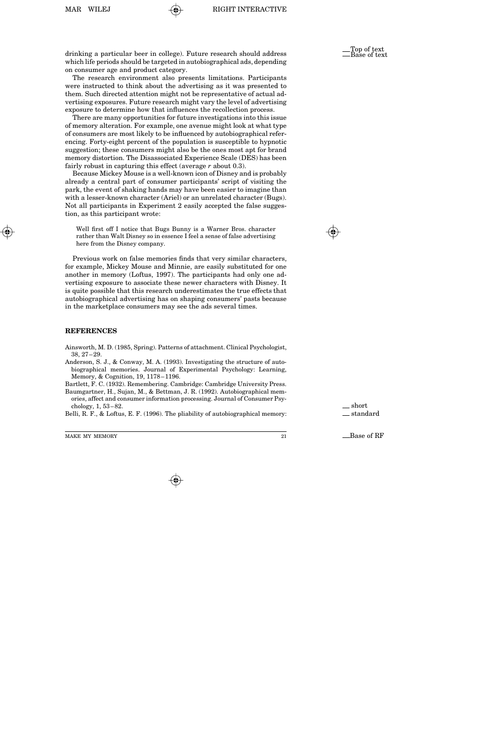drinking a particular beer in college). Future research should address which life periods should be targeted in autobiographical ads, depending on consumer age and product category.

The research environment also presents limitations. Participants were instructed to think about the advertising as it was presented to them. Such directed attention might not be representative of actual advertising exposures. Future research might vary the level of advertising exposure to determine how that influences the recollection process.

There are many opportunities for future investigations into this issue of memory alteration. For example, one avenue might look at what type of consumers are most likely to be influenced by autobiographical referencing. Forty-eight percent of the population is susceptible to hypnotic suggestion; these consumers might also be the ones most apt for brand memory distortion. The Disassociated Experience Scale (DES) has been fairly robust in capturing this effect (average *r* about 0.3).

Because Mickey Mouse is a well-known icon of Disney and is probably already a central part of consumer participants' script of visiting the park, the event of shaking hands may have been easier to imagine than with a lesser-known character (Ariel) or an unrelated character (Bugs). Not all participants in Experiment 2 easily accepted the false suggestion, as this participant wrote:

Well first off I notice that Bugs Bunny is a Warner Bros. character rather than Walt Disney so in essence I feel a sense of false advertising here from the Disney company.

Previous work on false memories finds that very similar characters, for example, Mickey Mouse and Minnie, are easily substituted for one another in memory (Loftus, 1997). The participants had only one advertising exposure to associate these newer characters with Disney. It is quite possible that this research underestimates the true effects that autobiographical advertising has on shaping consumers' pasts because in the marketplace consumers may see the ads several times.

#### **REFERENCES**

- Ainsworth, M. D. (1985, Spring). Patterns of attachment. Clinical Psychologist, 38, 27 – 29.
- Anderson, S. J., & Conway, M. A. (1993). Investigating the structure of autobiographical memories. Journal of Experimental Psychology: Learning, Memory, & Cognition, 19, 1178-1196.

Bartlett, F. C. (1932). Remembering. Cambridge: Cambridge University Press.

Baumgartner, H., Sujan, M., & Bettman, J. R. (1992). Autobiographical memories, affect and consumer information processing. Journal of Consumer Psychology, 1, 53 – 82.

Belli, R. F., & Loftus, E. F. (1996). The pliability of autobiographical memory: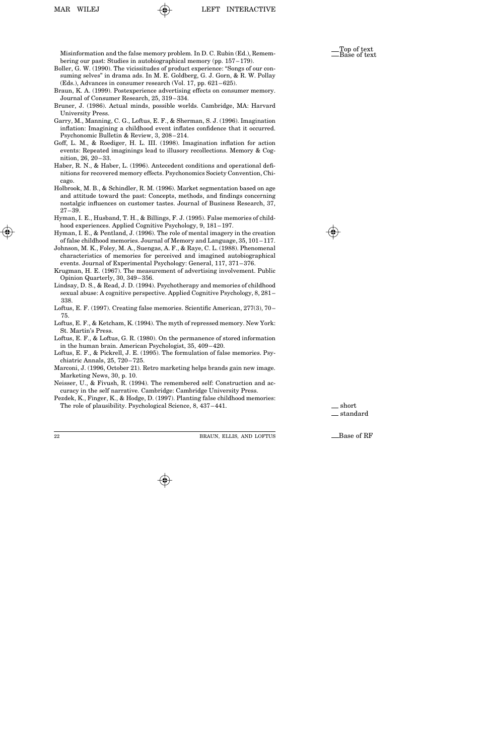Misinformation and the false memory problem. In D. C. Rubin (Ed.), Remembering our past: Studies in autobiographical memory (pp. 157 – 179).

- Boller, G. W. (1990). The vicissitudes of product experience: "Songs of our consuming selves" in drama ads. In M. E. Goldberg, G. J. Gorn, & R. W. Pollay (Eds.), Advances in consumer research (Vol. 17, pp. 621 – 625).
- Braun, K. A. (1999). Postexperience advertising effects on consumer memory. Journal of Consumer Research, 25, 319 – 334.
- Bruner, J. (1986). Actual minds, possible worlds. Cambridge, MA: Harvard University Press.
- Garry, M., Manning, C. G., Loftus, E. F., & Sherman, S. J. (1996). Imagination inflation: Imagining a childhood event inflates confidence that it occurred. Psychonomic Bulletin & Review, 3, 208 – 214.
- Goff, L. M., & Roediger, H. L. III. (1998). Imagination inflation for action events: Repeated imaginings lead to illusory recollections. Memory & Cognition, 26, 20 – 33.
- Haber, R. N., & Haber, L. (1996). Antecedent conditions and operational definitions for recovered memory effects. Psychonomics Society Convention, Chicago.
- Holbrook, M. B., & Schindler, R. M. (1996). Market segmentation based on age and attitude toward the past: Concepts, methods, and findings concerning nostalgic influences on customer tastes. Journal of Business Research, 37,  $27 - 39.$
- Hyman, I. E., Husband, T. H., & Billings, F. J. (1995). False memories of childhood experiences. Applied Cognitive Psychology, 9, 181-197.
- Hyman, I. E., & Pentland, J. (1996). The role of mental imagery in the creation of false childhood memories. Journal of Memory and Language, 35, 101 – 117.
- Johnson, M. K., Foley, M. A., Suengas, A. F., & Raye, C. L. (1988). Phenomenal characteristics of memories for perceived and imagined autobiographical events. Journal of Experimental Psychology: General, 117, 371 – 376.
- Krugman, H. E. (1967). The measurement of advertising involvement. Public Opinion Quarterly, 30, 349 – 356.
- Lindsay, D. S., & Read, J. D. (1994). Psychotherapy and memories of childhood sexual abuse: A cognitive perspective. Applied Cognitive Psychology, 8, 281 – 338.
- Loftus, E. F. (1997). Creating false memories. Scientific American, 277(3), 70 75.
- Loftus, E. F., & Ketcham, K. (1994). The myth of repressed memory. New York: St. Martin's Press.
- Loftus, E. F., & Loftus, G. R. (1980). On the permanence of stored information in the human brain. American Psychologist, 35, 409 – 420.
- Loftus, E. F., & Pickrell, J. E. (1995). The formulation of false memories. Psychiatric Annals, 25, 720 – 725.
- Marconi, J. (1996, October 21). Retro marketing helps brands gain new image. Marketing News, 30, p. 10.
- Neisser, U., & Fivush, R. (1994). The remembered self: Construction and accuracy in the self narrative. Cambridge: Cambridge University Press.
- Pezdek, K., Finger, K., & Hodge, D. (1997). Planting false childhood memories: The role of plausibility. Psychological Science, 8, 437 – 441.